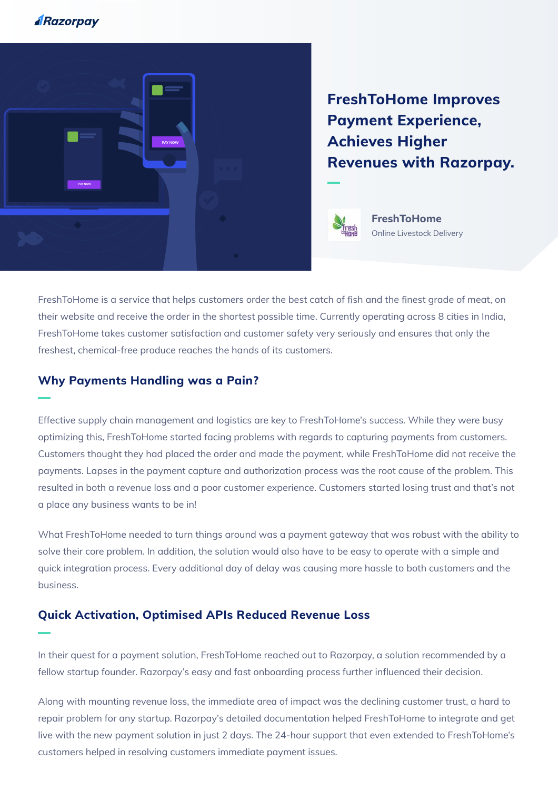## **ARazorpay**



**FreshToHome Improves Payment Experience, Achieves Higher Revenues with Razorpay.**



**FreshToHome** Online Livestock Delivery

FreshToHome is a service that helps customers order the best catch of fish and the finest grade of meat, on their website and receive the order in the shortest possible time. Currently operating across 8 cities in India, FreshToHome takes customer satisfaction and customer safety very seriously and ensures that only the freshest, chemical-free produce reaches the hands of its customers.

## **Why Payments Handling was a Pain?**

Effective supply chain management and logistics are key to FreshToHome's success. While they were busy optimizing this, FreshToHome started facing problems with regards to capturing payments from customers. Customers thought they had placed the order and made the payment, while FreshToHome did not receive the payments. Lapses in the payment capture and authorization process was the root cause of the problem. This resulted in both a revenue loss and a poor customer experience. Customers started losing trust and that's not a place any business wants to be in!

What FreshToHome needed to turn things around was a payment gateway that was robust with the ability to solve their core problem. In addition, the solution would also have to be easy to operate with a simple and quick integration process. Every additional day of delay was causing more hassle to both customers and the business.

## **Quick Activation, Optimised APIs Reduced Revenue Loss**

In their quest for a payment solution, FreshToHome reached out to Razorpay, a solution recommended by a fellow startup founder. Razorpay's easy and fast onboarding process further influenced their decision.

Along with mounting revenue loss, the immediate area of impact was the declining customer trust, a hard to repair problem for any startup. Razorpay's detailed documentation helped FreshToHome to integrate and get live with the new payment solution in just 2 days. The 24-hour support that even extended to FreshToHome's customers helped in resolving customers immediate payment issues.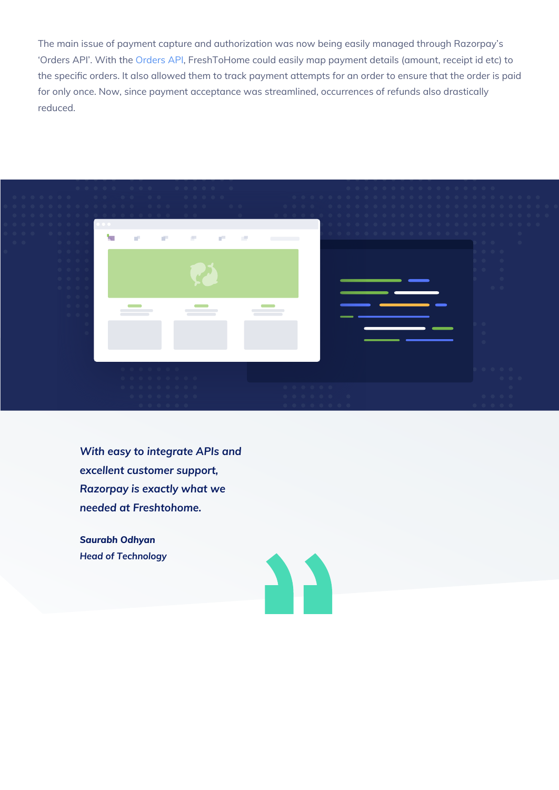The main issue of payment capture and authorization was now being easily managed through Razorpay's 'Orders API'. With the [Orders API,](https://docs.razorpay.com/page/orders) FreshToHome could easily map payment details (amount, receipt id etc) to the specific orders. It also allowed them to track payment attempts for an order to ensure that the order is paid for only once. Now, since payment acceptance was streamlined, occurrences of refunds also drastically reduced.



*With easy to integrate APIs and excellent customer support, Razorpay is exactly what we needed at Freshtohome.*

*Saurabh Odhyan Head of Technology*